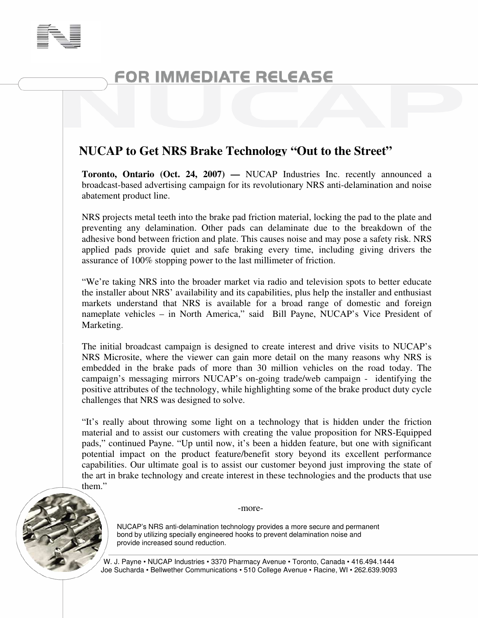

## FOR IMMEDIATE RELEASE

## **NUCAP to Get NRS Brake Technology "Out to the Street"**

**Toronto, Ontario (Oct. 24, 2007) —** NUCAP Industries Inc. recently announced a broadcast-based advertising campaign for its revolutionary NRS anti-delamination and noise abatement product line.

NRS projects metal teeth into the brake pad friction material, locking the pad to the plate and preventing any delamination. Other pads can delaminate due to the breakdown of the adhesive bond between friction and plate. This causes noise and may pose a safety risk. NRS applied pads provide quiet and safe braking every time, including giving drivers the assurance of 100% stopping power to the last millimeter of friction.

"We're taking NRS into the broader market via radio and television spots to better educate the installer about NRS' availability and its capabilities, plus help the installer and enthusiast markets understand that NRS is available for a broad range of domestic and foreign nameplate vehicles – in North America," said Bill Payne, NUCAP's Vice President of Marketing.

The initial broadcast campaign is designed to create interest and drive visits to NUCAP's NRS Microsite, where the viewer can gain more detail on the many reasons why NRS is embedded in the brake pads of more than 30 million vehicles on the road today. The campaign's messaging mirrors NUCAP's on-going trade/web campaign - identifying the positive attributes of the technology, while highlighting some of the brake product duty cycle challenges that NRS was designed to solve.

"It's really about throwing some light on a technology that is hidden under the friction material and to assist our customers with creating the value proposition for NRS-Equipped pads," continued Payne. "Up until now, it's been a hidden feature, but one with significant potential impact on the product feature/benefit story beyond its excellent performance capabilities. Our ultimate goal is to assist our customer beyond just improving the state of the art in brake technology and create interest in these technologies and the products that use them."



-more-

NUCAP's NRS anti-delamination technology provides a more secure and permanent bond by utilizing specially engineered hooks to prevent delamination noise and provide increased sound reduction.

W. J. Payne • NUCAP Industries • 3370 Pharmacy Avenue • Toronto, Canada • 416.494.1444 Joe Sucharda • Bellwether Communications • 510 College Avenue • Racine, WI • 262.639.9093